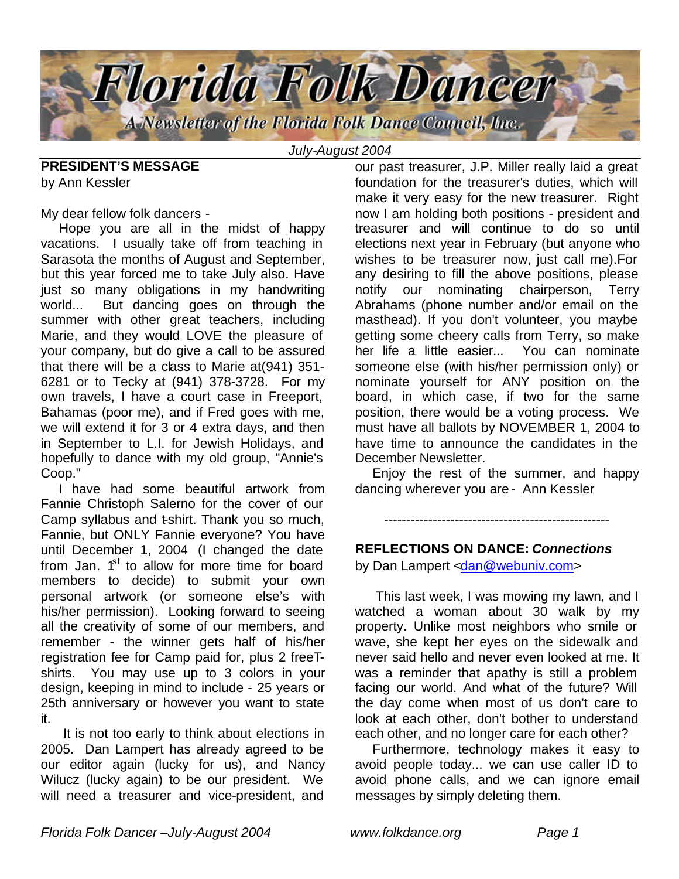

*July-August 2004*

**PRESIDENT'S MESSAGE** by Ann Kessler

My dear fellow folk dancers -

 Hope you are all in the midst of happy vacations. I usually take off from teaching in Sarasota the months of August and September, but this year forced me to take July also. Have just so many obligations in my handwriting world... But dancing goes on through the summer with other great teachers, including Marie, and they would LOVE the pleasure of your company, but do give a call to be assured that there will be a class to Marie at(941) 351- 6281 or to Tecky at (941) 378-3728. For my own travels, I have a court case in Freeport, Bahamas (poor me), and if Fred goes with me, we will extend it for 3 or 4 extra days, and then in September to L.I. for Jewish Holidays, and hopefully to dance with my old group, "Annie's Coop."

 I have had some beautiful artwork from Fannie Christoph Salerno for the cover of our Camp syllabus and t-shirt. Thank you so much, Fannie, but ONLY Fannie everyone? You have until December 1, 2004 (I changed the date from Jan.  $1<sup>st</sup>$  to allow for more time for board members to decide) to submit your own personal artwork (or someone else's with his/her permission). Looking forward to seeing all the creativity of some of our members, and remember - the winner gets half of his/her registration fee for Camp paid for, plus 2 freeTshirts. You may use up to 3 colors in your design, keeping in mind to include - 25 years or 25th anniversary or however you want to state it.

 It is not too early to think about elections in 2005. Dan Lampert has already agreed to be our editor again (lucky for us), and Nancy Wilucz (lucky again) to be our president. We will need a treasurer and vice-president, and

our past treasurer, J.P. Miller really laid a great foundation for the treasurer's duties, which will make it very easy for the new treasurer. Right now I am holding both positions - president and treasurer and will continue to do so until elections next year in February (but anyone who wishes to be treasurer now, just call me).For any desiring to fill the above positions, please notify our nominating chairperson, Terry Abrahams (phone number and/or email on the masthead). If you don't volunteer, you maybe getting some cheery calls from Terry, so make her life a little easier... You can nominate someone else (with his/her permission only) or nominate yourself for ANY position on the board, in which case, if two for the same position, there would be a voting process. We must have all ballots by NOVEMBER 1, 2004 to have time to announce the candidates in the December Newsletter.

 Enjoy the rest of the summer, and happy dancing wherever you are - Ann Kessler

---------------------------------------------------

#### **REFLECTIONS ON DANCE:** *Connections*

by Dan Lampert <dan@webuniv.com>

 This last week, I was mowing my lawn, and I watched a woman about 30 walk by my property. Unlike most neighbors who smile or wave, she kept her eyes on the sidewalk and never said hello and never even looked at me. It was a reminder that apathy is still a problem facing our world. And what of the future? Will the day come when most of us don't care to look at each other, don't bother to understand each other, and no longer care for each other?

 Furthermore, technology makes it easy to avoid people today... we can use caller ID to avoid phone calls, and we can ignore email messages by simply deleting them.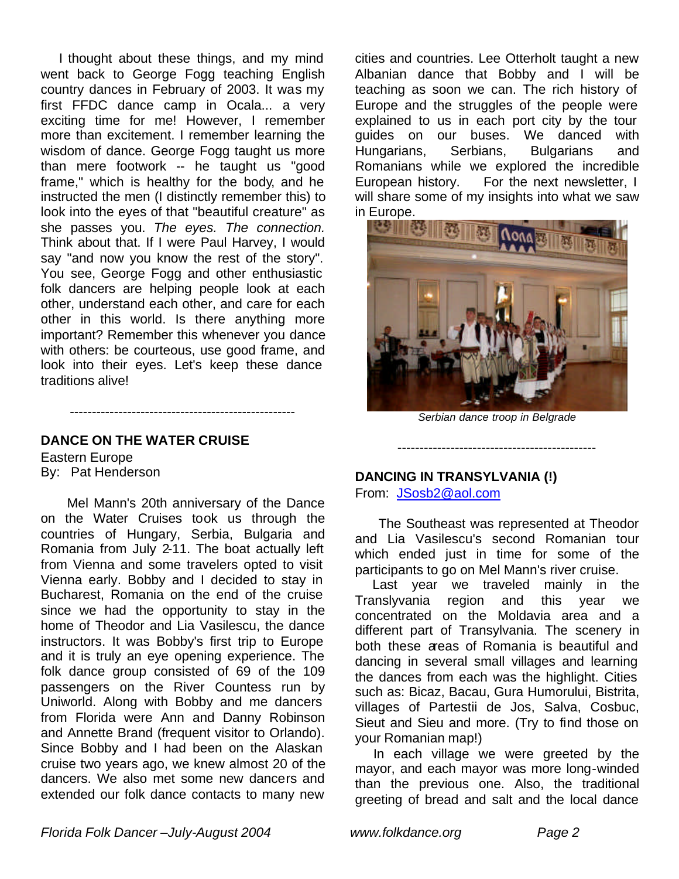I thought about these things, and my mind went back to George Fogg teaching English country dances in February of 2003. It was my first FFDC dance camp in Ocala... a very exciting time for me! However, I remember more than excitement. I remember learning the wisdom of dance. George Fogg taught us more than mere footwork -- he taught us "good frame," which is healthy for the body, and he instructed the men (I distinctly remember this) to look into the eyes of that "beautiful creature" as she passes you. *The eyes. The connection.* Think about that. If I were Paul Harvey, I would say "and now you know the rest of the story". You see, George Fogg and other enthusiastic folk dancers are helping people look at each other, understand each other, and care for each other in this world. Is there anything more important? Remember this whenever you dance with others: be courteous, use good frame, and look into their eyes. Let's keep these dance traditions alive!

## **DANCE ON THE WATER CRUISE**

---------------------------------------------------

Eastern Europe By: Pat Henderson

 Mel Mann's 20th anniversary of the Dance on the Water Cruises took us through the countries of Hungary, Serbia, Bulgaria and Romania from July 2-11. The boat actually left from Vienna and some travelers opted to visit Vienna early. Bobby and I decided to stay in Bucharest, Romania on the end of the cruise since we had the opportunity to stay in the home of Theodor and Lia Vasilescu, the dance instructors. It was Bobby's first trip to Europe and it is truly an eye opening experience. The folk dance group consisted of 69 of the 109 passengers on the River Countess run by Uniworld. Along with Bobby and me dancers from Florida were Ann and Danny Robinson and Annette Brand (frequent visitor to Orlando). Since Bobby and I had been on the Alaskan cruise two years ago, we knew almost 20 of the dancers. We also met some new dancers and extended our folk dance contacts to many new

cities and countries. Lee Otterholt taught a new Albanian dance that Bobby and I will be teaching as soon we can. The rich history of Europe and the struggles of the people were explained to us in each port city by the tour guides on our buses. We danced with Hungarians, Serbians, Bulgarians and Romanians while we explored the incredible European history. For the next newsletter, I will share some of my insights into what we saw



*Serbian dance troop in Belgrade*

---------------------------------------------

#### **DANCING IN TRANSYLVANIA (!)**

From: JSosb2@aol.com

 The Southeast was represented at Theodor and Lia Vasilescu's second Romanian tour which ended just in time for some of the participants to go on Mel Mann's river cruise.

 Last year we traveled mainly in the Translyvania region and this year we concentrated on the Moldavia area and a different part of Transylvania. The scenery in both these areas of Romania is beautiful and dancing in several small villages and learning the dances from each was the highlight. Cities such as: Bicaz, Bacau, Gura Humorului, Bistrita, villages of Partestii de Jos, Salva, Cosbuc, Sieut and Sieu and more. (Try to find those on your Romanian map!)

 In each village we were greeted by the mayor, and each mayor was more long-winded than the previous one. Also, the traditional greeting of bread and salt and the local dance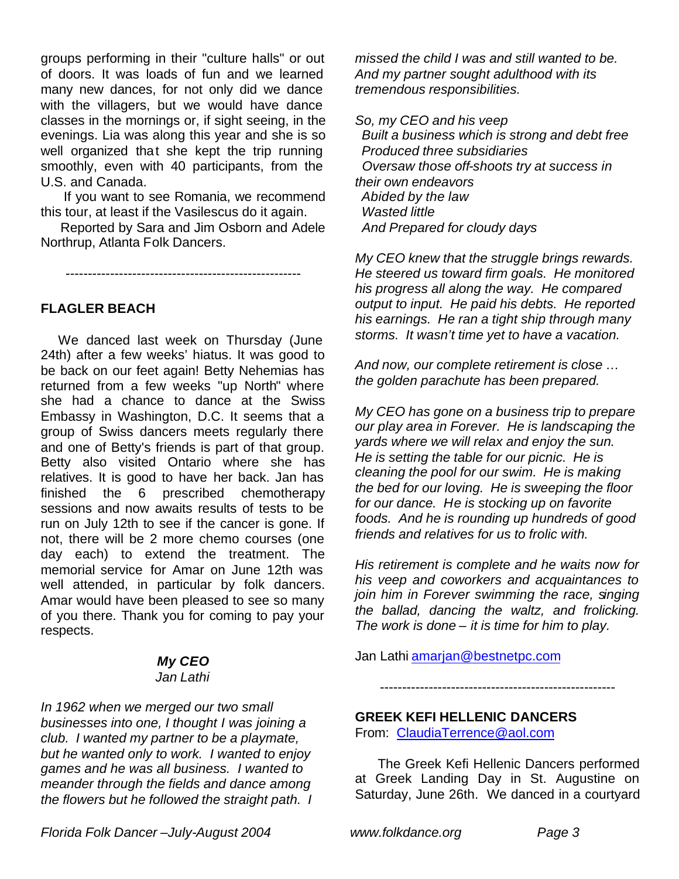groups performing in their "culture halls" or out of doors. It was loads of fun and we learned many new dances, for not only did we dance with the villagers, but we would have dance classes in the mornings or, if sight seeing, in the evenings. Lia was along this year and she is so well organized that she kept the trip running smoothly, even with 40 participants, from the U.S. and Canada.

 If you want to see Romania, we recommend this tour, at least if the Vasilescus do it again.

 Reported by Sara and Jim Osborn and Adele Northrup, Atlanta Folk Dancers.

-----------------------------------------------------

## **FLAGLER BEACH**

 We danced last week on Thursday (June 24th) after a few weeks' hiatus. It was good to be back on our feet again! Betty Nehemias has returned from a few weeks "up North" where she had a chance to dance at the Swiss Embassy in Washington, D.C. It seems that a group of Swiss dancers meets regularly there and one of Betty's friends is part of that group. Betty also visited Ontario where she has relatives. It is good to have her back. Jan has finished the 6 prescribed chemotherapy sessions and now awaits results of tests to be run on July 12th to see if the cancer is gone. If not, there will be 2 more chemo courses (one day each) to extend the treatment. The memorial service for Amar on June 12th was well attended, in particular by folk dancers. Amar would have been pleased to see so many of you there. Thank you for coming to pay your respects.

# *My CEO*

#### *Jan Lathi*

*In 1962 when we merged our two small businesses into one, I thought I was joining a club. I wanted my partner to be a playmate, but he wanted only to work. I wanted to enjoy games and he was all business. I wanted to meander through the fields and dance among the flowers but he followed the straight path. I*  *missed the child I was and still wanted to be. And my partner sought adulthood with its tremendous responsibilities.*

*So, my CEO and his veep*

 *Built a business which is strong and debt free Produced three subsidiaries Oversaw those off-shoots try at success in their own endeavors Abided by the law Wasted little And Prepared for cloudy days*

*My CEO knew that the struggle brings rewards. He steered us toward firm goals. He monitored his progress all along the way. He compared output to input. He paid his debts. He reported his earnings. He ran a tight ship through many storms. It wasn't time yet to have a vacation.* 

*And now, our complete retirement is close … the golden parachute has been prepared.* 

*My CEO has gone on a business trip to prepare our play area in Forever. He is landscaping the yards where we will relax and enjoy the sun. He is setting the table for our picnic. He is cleaning the pool for our swim. He is making the bed for our loving. He is sweeping the floor for our dance. He is stocking up on favorite foods. And he is rounding up hundreds of good friends and relatives for us to frolic with.* 

*His retirement is complete and he waits now for his veep and coworkers and acquaintances to join him in Forever swimming the race, singing the ballad, dancing the waltz, and frolicking. The work is done – it is time for him to play.*

Jan Lathi amarjan@bestnetpc.com

-----------------------------------------------------

## **GREEK KEFI HELLENIC DANCERS**

From: ClaudiaTerrence@aol.com

 The Greek Kefi Hellenic Dancers performed at Greek Landing Day in St. Augustine on Saturday, June 26th. We danced in a courtyard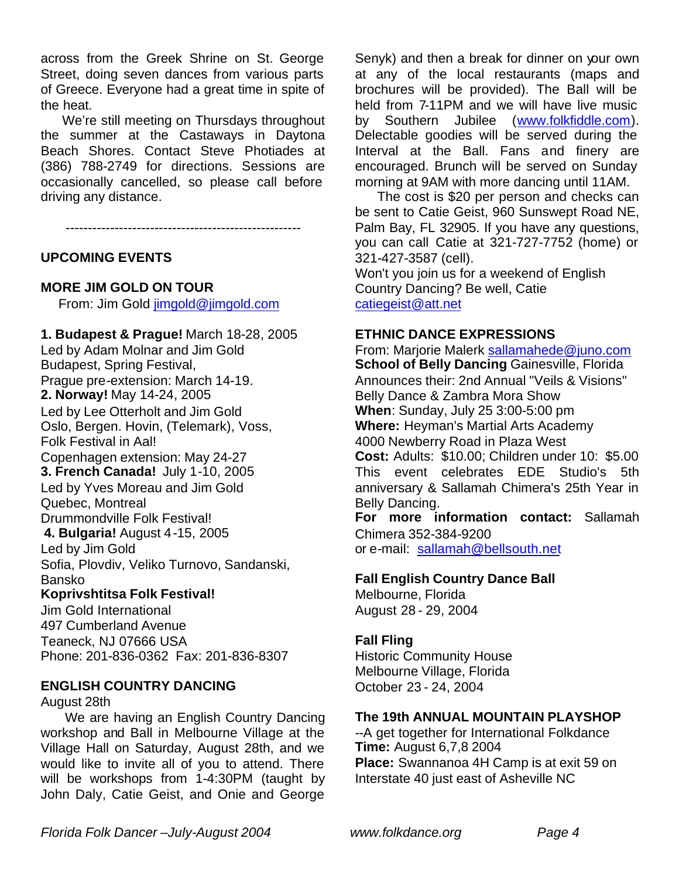across from the Greek Shrine on St. George Street, doing seven dances from various parts of Greece. Everyone had a great time in spite of the heat.

 We're still meeting on Thursdays throughout the summer at the Castaways in Daytona Beach Shores. Contact Steve Photiades at (386) 788-2749 for directions. Sessions are occasionally cancelled, so please call before driving any distance.

-----------------------------------------------------

#### **UPCOMING EVENTS**

#### **MORE JIM GOLD ON TOUR**

From: Jim Gold jimgold@jimgold.com

**1. Budapest & Prague!** March 18-28, 2005 Led by Adam Molnar and Jim Gold Budapest, Spring Festival, Prague pre-extension: March 14-19. **2. Norway!** May 14-24, 2005 Led by Lee Otterholt and Jim Gold Oslo, Bergen. Hovin, (Telemark), Voss, Folk Festival in Aal! Copenhagen extension: May 24-27 **3. French Canada!** July 1-10, 2005 Led by Yves Moreau and Jim Gold Quebec, Montreal Drummondville Folk Festival!  **4. Bulgaria!** August 4-15, 2005 Led by Jim Gold Sofia, Plovdiv, Veliko Turnovo, Sandanski, Bansko **Koprivshtitsa Folk Festival!**

Jim Gold International 497 Cumberland Avenue Teaneck, NJ 07666 USA Phone: 201-836-0362 Fax: 201-836-8307

#### **ENGLISH COUNTRY DANCING**

August 28th

 We are having an English Country Dancing workshop and Ball in Melbourne Village at the Village Hall on Saturday, August 28th, and we would like to invite all of you to attend. There will be workshops from 1-4:30PM (taught by John Daly, Catie Geist, and Onie and George Senyk) and then a break for dinner on your own at any of the local restaurants (maps and brochures will be provided). The Ball will be held from 7-11PM and we will have live music by Southern Jubilee (www.folkfiddle.com). Delectable goodies will be served during the Interval at the Ball. Fans and finery are encouraged. Brunch will be served on Sunday morning at 9AM with more dancing until 11AM.

 The cost is \$20 per person and checks can be sent to Catie Geist, 960 Sunswept Road NE, Palm Bay, FL 32905. If you have any questions, you can call Catie at 321-727-7752 (home) or 321-427-3587 (cell).

Won't you join us for a weekend of English Country Dancing? Be well, Catie catiegeist@att.net

#### **ETHNIC DANCE EXPRESSIONS**

From: Marjorie Malerk sallamahede@juno.com **School of Belly Dancing** Gainesville, Florida Announces their: 2nd Annual "Veils & Visions" Belly Dance & Zambra Mora Show **When**: Sunday, July 25 3:00-5:00 pm **Where:** Heyman's Martial Arts Academy 4000 Newberry Road in Plaza West **Cost:** Adults: \$10.00; Children under 10: \$5.00 This event celebrates EDE Studio's 5th anniversary & Sallamah Chimera's 25th Year in Belly Dancing. **For more information contact:** Sallamah

Chimera 352-384-9200 or e-mail: sallamah@bellsouth.net

## **Fall English Country Dance Ball**

Melbourne, Florida August 28 - 29, 2004

## **Fall Fling**

Historic Community House Melbourne Village, Florida October 23 - 24, 2004

## **The 19th ANNUAL MOUNTAIN PLAYSHOP**

--A get together for International Folkdance **Time:** August 6,7,8 2004 **Place:** Swannanoa 4H Camp is at exit 59 on Interstate 40 just east of Asheville NC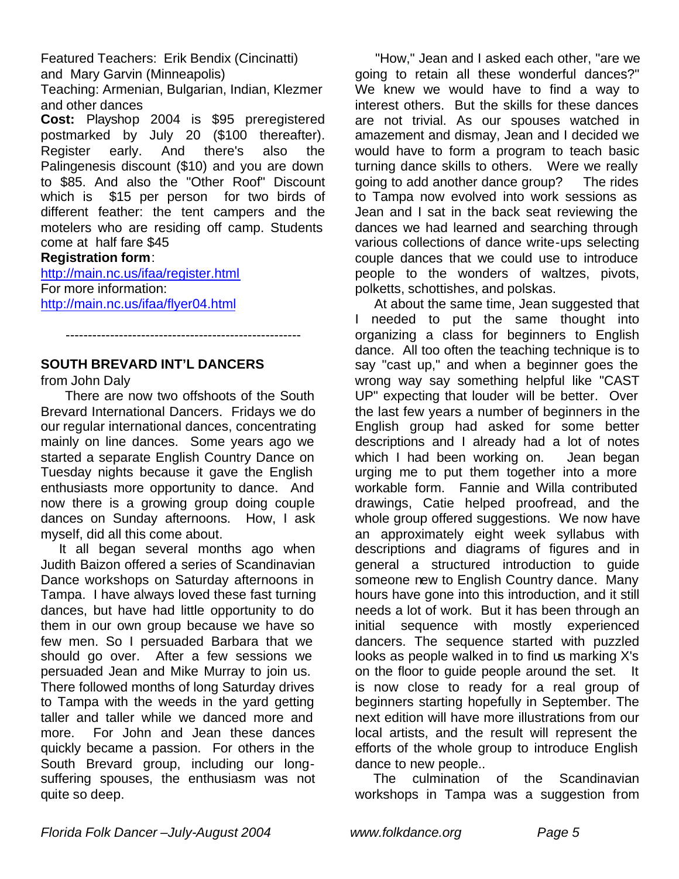Featured Teachers: Erik Bendix (Cincinatti) and Mary Garvin (Minneapolis)

Teaching: Armenian, Bulgarian, Indian, Klezmer and other dances

**Cost:** Playshop 2004 is \$95 preregistered postmarked by July 20 (\$100 thereafter). Register early. And there's also the Palingenesis discount (\$10) and you are down to \$85. And also the "Other Roof" Discount which is \$15 per person for two birds of different feather: the tent campers and the motelers who are residing off camp. Students come at half fare \$45

## **Registration form**:

http://main.nc.us/ifaa/register.html For more information: http://main.nc.us/ifaa/flyer04.html

# **SOUTH BREVARD INT'L DANCERS**

## from John Daly

 There are now two offshoots of the South Brevard International Dancers. Fridays we do our regular international dances, concentrating mainly on line dances. Some years ago we started a separate English Country Dance on Tuesday nights because it gave the English enthusiasts more opportunity to dance. And now there is a growing group doing couple dances on Sunday afternoons. How, I ask myself, did all this come about.

-----------------------------------------------------

 It all began several months ago when Judith Baizon offered a series of Scandinavian Dance workshops on Saturday afternoons in Tampa. I have always loved these fast turning dances, but have had little opportunity to do them in our own group because we have so few men. So I persuaded Barbara that we should go over. After a few sessions we persuaded Jean and Mike Murray to join us. There followed months of long Saturday drives to Tampa with the weeds in the yard getting taller and taller while we danced more and more. For John and Jean these dances quickly became a passion. For others in the South Brevard group, including our longsuffering spouses, the enthusiasm was not quite so deep.

 "How," Jean and I asked each other, "are we going to retain all these wonderful dances?" We knew we would have to find a way to interest others. But the skills for these dances are not trivial. As our spouses watched in amazement and dismay, Jean and I decided we would have to form a program to teach basic turning dance skills to others. Were we really going to add another dance group? The rides to Tampa now evolved into work sessions as Jean and I sat in the back seat reviewing the dances we had learned and searching through various collections of dance write-ups selecting couple dances that we could use to introduce people to the wonders of waltzes, pivots, polketts, schottishes, and polskas.

 At about the same time, Jean suggested that I needed to put the same thought into organizing a class for beginners to English dance. All too often the teaching technique is to say "cast up," and when a beginner goes the wrong way say something helpful like "CAST UP" expecting that louder will be better. Over the last few years a number of beginners in the English group had asked for some better descriptions and I already had a lot of notes which I had been working on. Jean began urging me to put them together into a more workable form. Fannie and Willa contributed drawings, Catie helped proofread, and the whole group offered suggestions. We now have an approximately eight week syllabus with descriptions and diagrams of figures and in general a structured introduction to guide someone new to English Country dance. Many hours have gone into this introduction, and it still needs a lot of work. But it has been through an initial sequence with mostly experienced dancers. The sequence started with puzzled looks as people walked in to find us marking X's on the floor to guide people around the set. It is now close to ready for a real group of beginners starting hopefully in September. The next edition will have more illustrations from our local artists, and the result will represent the efforts of the whole group to introduce English dance to new people..

 The culmination of the Scandinavian workshops in Tampa was a suggestion from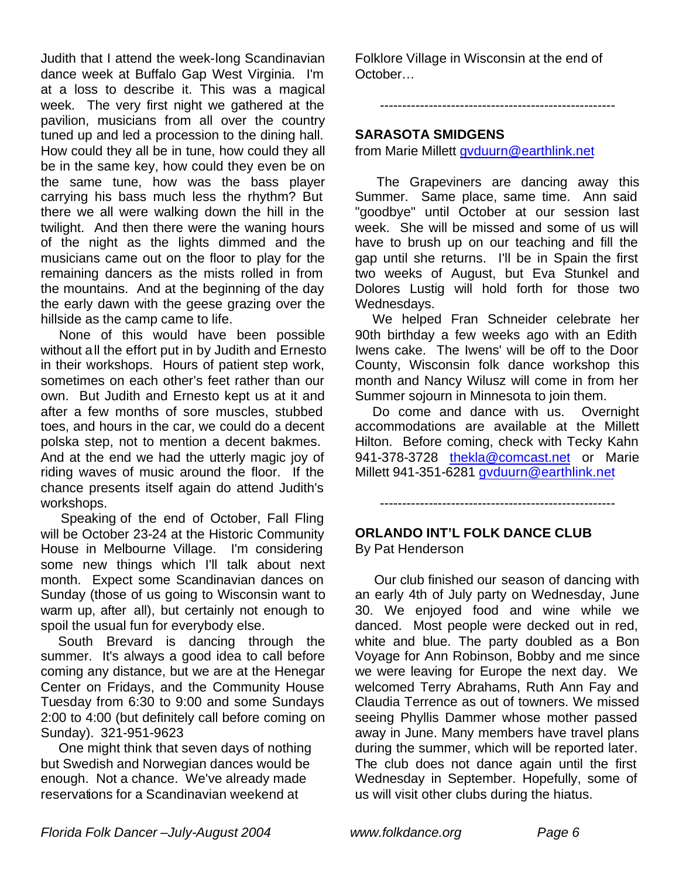Judith that I attend the week-long Scandinavian dance week at Buffalo Gap West Virginia. I'm at a loss to describe it. This was a magical week. The very first night we gathered at the pavilion, musicians from all over the country tuned up and led a procession to the dining hall. How could they all be in tune, how could they all be in the same key, how could they even be on the same tune, how was the bass player carrying his bass much less the rhythm? But there we all were walking down the hill in the twilight. And then there were the waning hours of the night as the lights dimmed and the musicians came out on the floor to play for the remaining dancers as the mists rolled in from the mountains. And at the beginning of the day the early dawn with the geese grazing over the hillside as the camp came to life.

 None of this would have been possible without all the effort put in by Judith and Ernesto in their workshops. Hours of patient step work, sometimes on each other's feet rather than our own. But Judith and Ernesto kept us at it and after a few months of sore muscles, stubbed toes, and hours in the car, we could do a decent polska step, not to mention a decent bakmes. And at the end we had the utterly magic joy of riding waves of music around the floor. If the chance presents itself again do attend Judith's workshops.

 Speaking of the end of October, Fall Fling will be October 23-24 at the Historic Community House in Melbourne Village. I'm considering some new things which I'll talk about next month. Expect some Scandinavian dances on Sunday (those of us going to Wisconsin want to warm up, after all), but certainly not enough to spoil the usual fun for everybody else.

 South Brevard is dancing through the summer. It's always a good idea to call before coming any distance, but we are at the Henegar Center on Fridays, and the Community House Tuesday from 6:30 to 9:00 and some Sundays 2:00 to 4:00 (but definitely call before coming on Sunday). 321-951-9623

 One might think that seven days of nothing but Swedish and Norwegian dances would be enough. Not a chance. We've already made reservations for a Scandinavian weekend at

Folklore Village in Wisconsin at the end of October…

-----------------------------------------------------

### **SARASOTA SMIDGENS**

from Marie Millett gvduurn@earthlink.net

 The Grapeviners are dancing away this Summer. Same place, same time. Ann said "goodbye" until October at our session last week. She will be missed and some of us will have to brush up on our teaching and fill the gap until she returns. I'll be in Spain the first two weeks of August, but Eva Stunkel and Dolores Lustig will hold forth for those two Wednesdays.

 We helped Fran Schneider celebrate her 90th birthday a few weeks ago with an Edith Iwens cake. The Iwens' will be off to the Door County, Wisconsin folk dance workshop this month and Nancy Wilusz will come in from her Summer sojourn in Minnesota to join them.

 Do come and dance with us. Overnight accommodations are available at the Millett Hilton. Before coming, check with Tecky Kahn 941-378-3728 thekla@comcast.net or Marie Millett 941-351-6281 gvduurn@earthlink.net

-----------------------------------------------------

#### **ORLANDO INT'L FOLK DANCE CLUB** By Pat Henderson

 Our club finished our season of dancing with an early 4th of July party on Wednesday, June 30. We enjoyed food and wine while we danced. Most people were decked out in red, white and blue. The party doubled as a Bon Voyage for Ann Robinson, Bobby and me since we were leaving for Europe the next day. We welcomed Terry Abrahams, Ruth Ann Fay and Claudia Terrence as out of towners. We missed seeing Phyllis Dammer whose mother passed away in June. Many members have travel plans during the summer, which will be reported later. The club does not dance again until the first Wednesday in September. Hopefully, some of us will visit other clubs during the hiatus.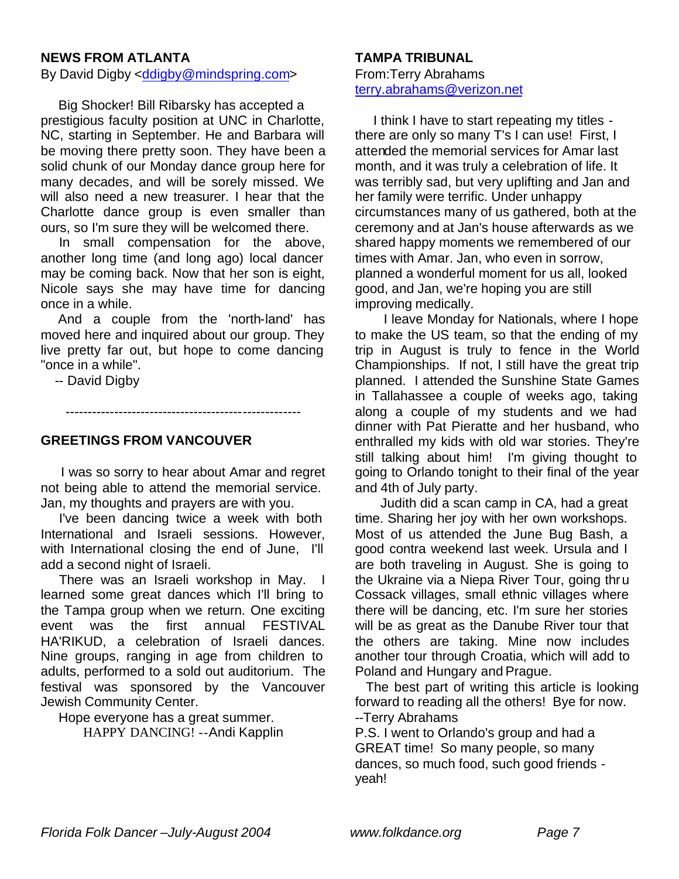#### **NEWS FROM ATLANTA**

By David Digby <ddigby@mindspring.com>

 Big Shocker! Bill Ribarsky has accepted a prestigious faculty position at UNC in Charlotte, NC, starting in September. He and Barbara will be moving there pretty soon. They have been a solid chunk of our Monday dance group here for many decades, and will be sorely missed. We will also need a new treasurer. I hear that the Charlotte dance group is even smaller than ours, so I'm sure they will be welcomed there.

 In small compensation for the above, another long time (and long ago) local dancer may be coming back. Now that her son is eight, Nicole says she may have time for dancing once in a while.

 And a couple from the 'north-land' has moved here and inquired about our group. They live pretty far out, but hope to come dancing "once in a while".

-----------------------------------------------------

-- David Digby

**GREETINGS FROM VANCOUVER**

 I was so sorry to hear about Amar and regret not being able to attend the memorial service. Jan, my thoughts and prayers are with you.

 I've been dancing twice a week with both International and Israeli sessions. However, with International closing the end of June, I'll add a second night of Israeli.

 There was an Israeli workshop in May. I learned some great dances which I'll bring to the Tampa group when we return. One exciting event was the first annual FESTIVAL HA'RIKUD, a celebration of Israeli dances. Nine groups, ranging in age from children to adults, performed to a sold out auditorium. The festival was sponsored by the Vancouver Jewish Community Center.

 Hope everyone has a great summer. HAPPY DANCING! --Andi Kapplin

#### **TAMPA TRIBUNAL**

From:Terry Abrahams terry.abrahams@verizon.net

 I think I have to start repeating my titles there are only so many T's I can use! First, I attended the memorial services for Amar last month, and it was truly a celebration of life. It was terribly sad, but very uplifting and Jan and her family were terrific. Under unhappy circumstances many of us gathered, both at the ceremony and at Jan's house afterwards as we shared happy moments we remembered of our times with Amar. Jan, who even in sorrow, planned a wonderful moment for us all, looked good, and Jan, we're hoping you are still improving medically.

 I leave Monday for Nationals, where I hope to make the US team, so that the ending of my trip in August is truly to fence in the World Championships. If not, I still have the great trip planned. I attended the Sunshine State Games in Tallahassee a couple of weeks ago, taking along a couple of my students and we had dinner with Pat Pieratte and her husband, who enthralled my kids with old war stories. They're still talking about him! I'm giving thought to going to Orlando tonight to their final of the year and 4th of July party.

 Judith did a scan camp in CA, had a great time. Sharing her joy with her own workshops. Most of us attended the June Bug Bash, a good contra weekend last week. Ursula and I are both traveling in August. She is going to the Ukraine via a Niepa River Tour, going thru Cossack villages, small ethnic villages where there will be dancing, etc. I'm sure her stories will be as great as the Danube River tour that the others are taking. Mine now includes another tour through Croatia, which will add to Poland and Hungary and Prague.

 The best part of writing this article is looking forward to reading all the others! Bye for now. --Terry Abrahams

P.S. I went to Orlando's group and had a GREAT time! So many people, so many dances, so much food, such good friends yeah!